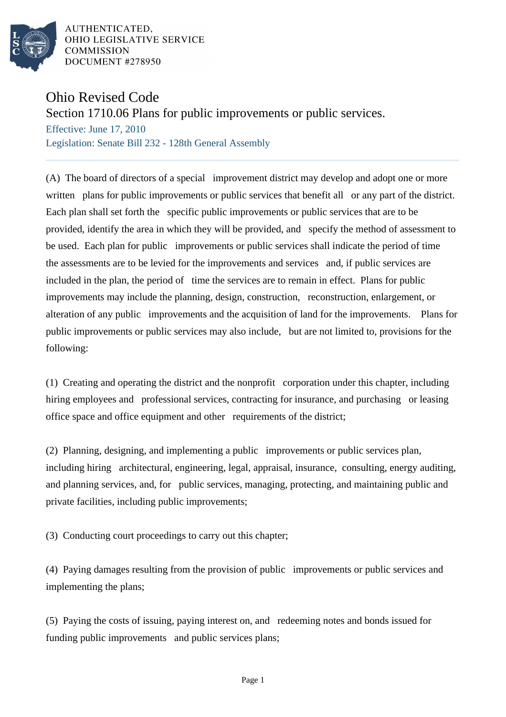

AUTHENTICATED. OHIO LEGISLATIVE SERVICE **COMMISSION** DOCUMENT #278950

## Ohio Revised Code

Section 1710.06 Plans for public improvements or public services.

Effective: June 17, 2010 Legislation: Senate Bill 232 - 128th General Assembly

(A) The board of directors of a special improvement district may develop and adopt one or more written plans for public improvements or public services that benefit all or any part of the district. Each plan shall set forth the specific public improvements or public services that are to be provided, identify the area in which they will be provided, and specify the method of assessment to be used. Each plan for public improvements or public services shall indicate the period of time the assessments are to be levied for the improvements and services and, if public services are included in the plan, the period of time the services are to remain in effect. Plans for public improvements may include the planning, design, construction, reconstruction, enlargement, or alteration of any public improvements and the acquisition of land for the improvements. Plans for public improvements or public services may also include, but are not limited to, provisions for the following:

(1) Creating and operating the district and the nonprofit corporation under this chapter, including hiring employees and professional services, contracting for insurance, and purchasing or leasing office space and office equipment and other requirements of the district;

(2) Planning, designing, and implementing a public improvements or public services plan, including hiring architectural, engineering, legal, appraisal, insurance, consulting, energy auditing, and planning services, and, for public services, managing, protecting, and maintaining public and private facilities, including public improvements;

(3) Conducting court proceedings to carry out this chapter;

(4) Paying damages resulting from the provision of public improvements or public services and implementing the plans;

(5) Paying the costs of issuing, paying interest on, and redeeming notes and bonds issued for funding public improvements and public services plans;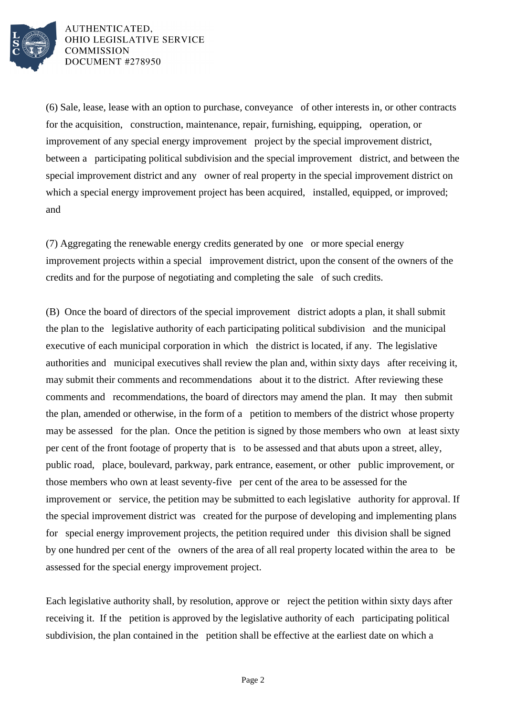

AUTHENTICATED, OHIO LEGISLATIVE SERVICE **COMMISSION** DOCUMENT #278950

(6) Sale, lease, lease with an option to purchase, conveyance of other interests in, or other contracts for the acquisition, construction, maintenance, repair, furnishing, equipping, operation, or improvement of any special energy improvement project by the special improvement district, between a participating political subdivision and the special improvement district, and between the special improvement district and any owner of real property in the special improvement district on which a special energy improvement project has been acquired, installed, equipped, or improved; and

(7) Aggregating the renewable energy credits generated by one or more special energy improvement projects within a special improvement district, upon the consent of the owners of the credits and for the purpose of negotiating and completing the sale of such credits.

(B) Once the board of directors of the special improvement district adopts a plan, it shall submit the plan to the legislative authority of each participating political subdivision and the municipal executive of each municipal corporation in which the district is located, if any. The legislative authorities and municipal executives shall review the plan and, within sixty days after receiving it, may submit their comments and recommendations about it to the district. After reviewing these comments and recommendations, the board of directors may amend the plan. It may then submit the plan, amended or otherwise, in the form of a petition to members of the district whose property may be assessed for the plan. Once the petition is signed by those members who own at least sixty per cent of the front footage of property that is to be assessed and that abuts upon a street, alley, public road, place, boulevard, parkway, park entrance, easement, or other public improvement, or those members who own at least seventy-five per cent of the area to be assessed for the improvement or service, the petition may be submitted to each legislative authority for approval. If the special improvement district was created for the purpose of developing and implementing plans for special energy improvement projects, the petition required under this division shall be signed by one hundred per cent of the owners of the area of all real property located within the area to be assessed for the special energy improvement project.

Each legislative authority shall, by resolution, approve or reject the petition within sixty days after receiving it. If the petition is approved by the legislative authority of each participating political subdivision, the plan contained in the petition shall be effective at the earliest date on which a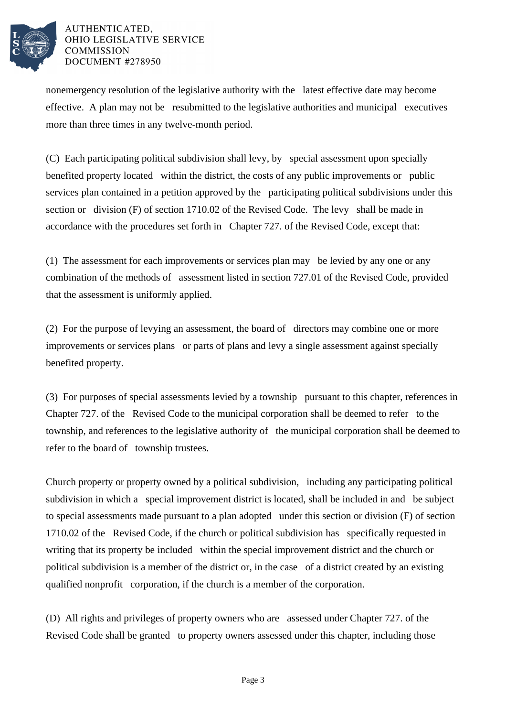

## AUTHENTICATED. OHIO LEGISLATIVE SERVICE **COMMISSION** DOCUMENT #278950

nonemergency resolution of the legislative authority with the latest effective date may become effective. A plan may not be resubmitted to the legislative authorities and municipal executives more than three times in any twelve-month period.

(C) Each participating political subdivision shall levy, by special assessment upon specially benefited property located within the district, the costs of any public improvements or public services plan contained in a petition approved by the participating political subdivisions under this section or division (F) of section 1710.02 of the Revised Code. The levy shall be made in accordance with the procedures set forth in Chapter 727. of the Revised Code, except that:

(1) The assessment for each improvements or services plan may be levied by any one or any combination of the methods of assessment listed in section 727.01 of the Revised Code, provided that the assessment is uniformly applied.

(2) For the purpose of levying an assessment, the board of directors may combine one or more improvements or services plans or parts of plans and levy a single assessment against specially benefited property.

(3) For purposes of special assessments levied by a township pursuant to this chapter, references in Chapter 727. of the Revised Code to the municipal corporation shall be deemed to refer to the township, and references to the legislative authority of the municipal corporation shall be deemed to refer to the board of township trustees.

Church property or property owned by a political subdivision, including any participating political subdivision in which a special improvement district is located, shall be included in and be subject to special assessments made pursuant to a plan adopted under this section or division (F) of section 1710.02 of the Revised Code, if the church or political subdivision has specifically requested in writing that its property be included within the special improvement district and the church or political subdivision is a member of the district or, in the case of a district created by an existing qualified nonprofit corporation, if the church is a member of the corporation.

(D) All rights and privileges of property owners who are assessed under Chapter 727. of the Revised Code shall be granted to property owners assessed under this chapter, including those